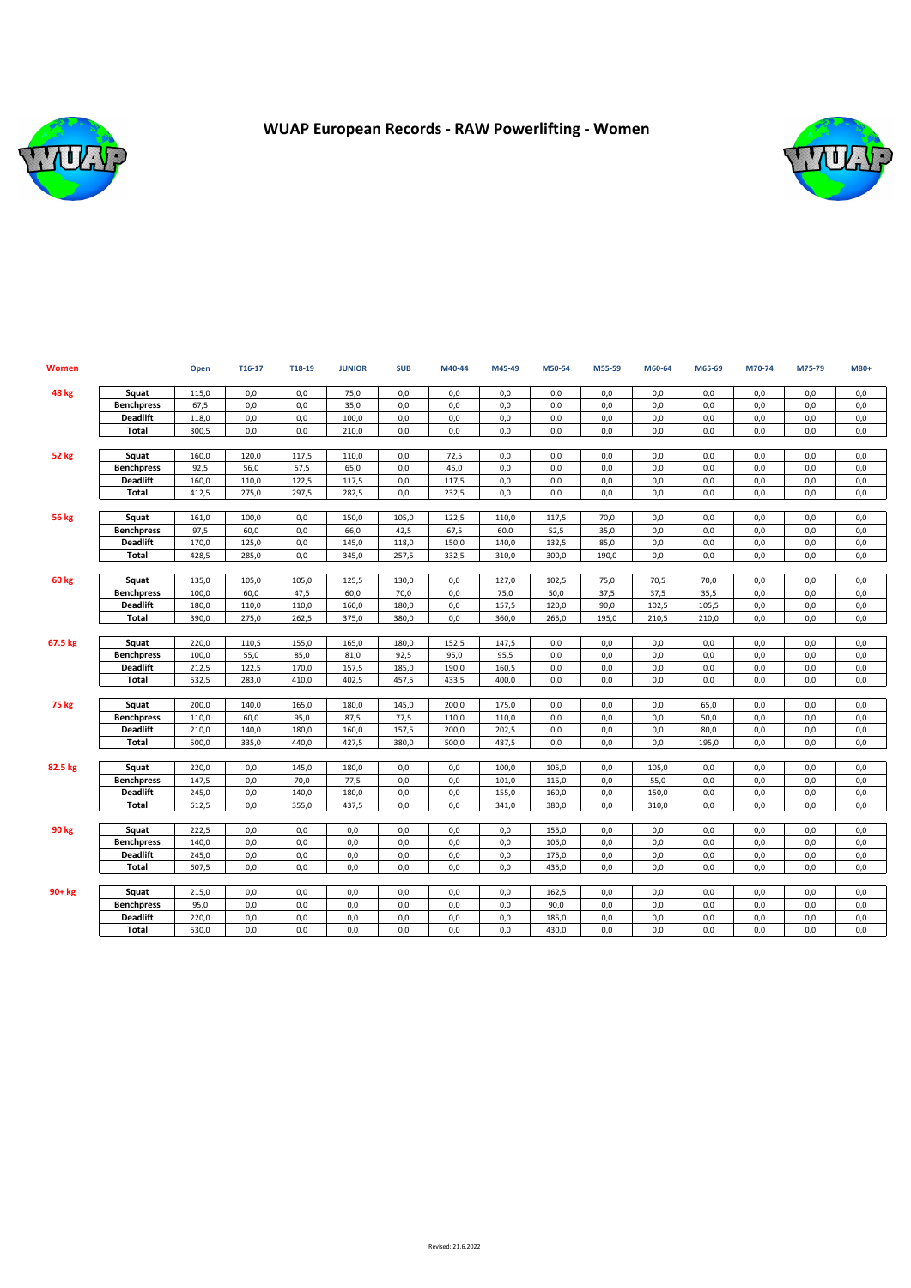

## **WUAP European Records - RAW Powerlifting - Women**



| <b>Women</b> |                   | Open  | T16-17 | T18-19 | <b>JUNIOR</b> | <b>SUB</b> | M40-44 | M45-49 | M50-54 | M55-59 | M60-64 | M65-69 | M70-74 | M75-79 | M80+ |
|--------------|-------------------|-------|--------|--------|---------------|------------|--------|--------|--------|--------|--------|--------|--------|--------|------|
| 48 kg        | Squat             | 115,0 | 0,0    | 0,0    | 75,0          | 0,0        | 0,0    | 0,0    | 0,0    | 0,0    | 0,0    | 0,0    | 0,0    | 0,0    | 0,0  |
|              | <b>Benchpress</b> | 67,5  | 0,0    | 0.0    | 35,0          | 0,0        | 0,0    | 0.0    | 0,0    | 0,0    | 0,0    | 0.0    | 0,0    | 0,0    | 0,0  |
|              | <b>Deadlift</b>   | 118,0 | 0,0    | 0,0    | 100.0         | 0,0        | 0,0    | 0.0    | 0,0    | 0,0    | 0,0    | 0.0    | 0,0    | 0,0    | 0,0  |
|              | Total             | 300,5 | 0,0    | 0,0    | 210,0         | 0,0        | 0,0    | 0,0    | 0,0    | 0,0    | 0,0    | 0,0    | 0,0    | 0,0    | 0,0  |
|              |                   |       |        |        |               |            |        |        |        |        |        |        |        |        |      |
| 52 kg        | Squat             | 160,0 | 120,0  | 117,5  | 110,0         | 0,0        | 72,5   | 0,0    | 0,0    | 0,0    | 0,0    | 0,0    | 0,0    | 0,0    | 0,0  |
|              | <b>Benchpress</b> | 92,5  | 56,0   | 57,5   | 65,0          | 0,0        | 45,0   | 0.0    | 0,0    | 0,0    | 0,0    | 0,0    | 0,0    | 0,0    | 0,0  |
|              | <b>Deadlift</b>   | 160,0 | 110,0  | 122,5  | 117,5         | 0,0        | 117,5  | 0,0    | 0,0    | 0,0    | 0,0    | 0,0    | 0,0    | 0,0    | 0,0  |
|              | Total             | 412,5 | 275,0  | 297,5  | 282,5         | 0,0        | 232,5  | 0,0    | 0,0    | 0,0    | 0,0    | 0,0    | 0,0    | 0,0    | 0,0  |
| <b>56 kg</b> | Squat             | 161,0 | 100,0  | 0,0    | 150,0         | 105,0      | 122,5  | 110.0  | 117,5  | 70,0   | 0,0    | 0.0    | 0,0    | 0,0    | 0,0  |
|              | <b>Benchpress</b> | 97,5  | 60,0   | 0.0    | 66,0          | 42,5       | 67,5   | 60,0   | 52,5   | 35,0   | 0,0    | 0.0    | 0,0    | 0,0    | 0,0  |
|              | <b>Deadlift</b>   | 170,0 | 125,0  | 0,0    | 145,0         | 118,0      | 150,0  | 140,0  | 132,5  | 85,0   | 0,0    | 0,0    | 0,0    | 0,0    | 0,0  |
|              | <b>Total</b>      | 428,5 | 285,0  | 0,0    | 345,0         | 257,5      | 332,5  | 310,0  | 300,0  | 190,0  | 0,0    | 0,0    | 0,0    | 0,0    | 0,0  |
| 60 kg        | Squat             | 135,0 | 105,0  | 105,0  | 125,5         | 130,0      | 0,0    | 127,0  | 102,5  | 75,0   | 70,5   | 70,0   | 0,0    | 0,0    | 0,0  |
|              | <b>Benchpress</b> | 100,0 | 60,0   | 47,5   | 60,0          | 70,0       | 0,0    | 75,0   | 50,0   | 37,5   | 37,5   | 35,5   | 0,0    | 0,0    | 0,0  |
|              | <b>Deadlift</b>   | 180,0 | 110,0  | 110,0  | 160,0         | 180,0      | 0,0    | 157,5  | 120,0  | 90,0   | 102,5  | 105,5  | 0,0    | 0,0    | 0,0  |
|              | Total             | 390,0 | 275,0  | 262,5  | 375,0         | 380,0      | 0,0    | 360,0  | 265,0  | 195,0  | 210,5  | 210,0  | 0,0    | 0,0    | 0,0  |
|              |                   |       |        |        |               |            |        |        |        |        |        |        |        |        |      |
| 67.5 kg      | Squat             | 220,0 | 110,5  | 155,0  | 165,0         | 180,0      | 152,5  | 147,5  | 0,0    | 0,0    | 0,0    | 0,0    | 0,0    | 0,0    | 0,0  |
|              | <b>Benchpress</b> | 100,0 | 55,0   | 85,0   | 81,0          | 92,5       | 95,0   | 95,5   | 0,0    | 0,0    | 0,0    | 0,0    | 0,0    | 0,0    | 0,0  |
|              | <b>Deadlift</b>   | 212,5 | 122,5  | 170,0  | 157,5         | 185,0      | 190,0  | 160,5  | 0,0    | 0,0    | 0,0    | 0,0    | 0,0    | 0,0    | 0,0  |
|              | Total             | 532,5 | 283,0  | 410,0  | 402,5         | 457,5      | 433,5  | 400,0  | 0,0    | 0,0    | 0,0    | 0,0    | 0,0    | 0,0    | 0,0  |
|              |                   |       |        |        |               |            |        |        |        |        |        |        |        |        |      |
| <b>75 kg</b> | Squat             | 200,0 | 140,0  | 165,0  | 180,0         | 145,0      | 200,0  | 175,0  | 0,0    | 0,0    | 0,0    | 65,0   | 0,0    | 0,0    | 0,0  |
|              | <b>Benchpress</b> | 110,0 | 60,0   | 95,0   | 87,5          | 77,5       | 110,0  | 110,0  | 0,0    | 0,0    | 0,0    | 50,0   | 0,0    | 0,0    | 0,0  |
|              | <b>Deadlift</b>   | 210,0 | 140,0  | 180,0  | 160,0         | 157,5      | 200,0  | 202,5  | 0,0    | 0,0    | 0,0    | 80,0   | 0,0    | 0,0    | 0,0  |
|              | Total             | 500,0 | 335,0  | 440,0  | 427,5         | 380,0      | 500,0  | 487,5  | 0,0    | 0,0    | 0.0    | 195,0  | 0,0    | 0,0    | 0.0  |
| 82.5 kg      | Squat             | 220,0 | 0,0    | 145,0  | 180,0         | 0,0        | 0,0    | 100,0  | 105,0  | 0,0    | 105,0  | 0.0    | 0,0    | 0,0    | 0,0  |
|              | <b>Benchpress</b> | 147,5 | 0,0    | 70,0   | 77,5          | 0,0        | 0,0    | 101,0  | 115,0  | 0,0    | 55,0   | 0,0    | 0,0    | 0,0    | 0,0  |
|              | <b>Deadlift</b>   | 245,0 | 0,0    | 140,0  | 180,0         | 0,0        | 0,0    | 155,0  | 160,0  | 0,0    | 150,0  | 0.0    | 0,0    | 0,0    | 0,0  |
|              | Total             | 612,5 | 0,0    | 355,0  | 437,5         | 0,0        | 0,0    | 341,0  | 380,0  | 0,0    | 310,0  | 0,0    | 0,0    | 0,0    | 0,0  |
| 90 kg        | Squat             | 222,5 | 0,0    | 0,0    | 0,0           | 0,0        | 0,0    | 0,0    | 155,0  | 0,0    | 0,0    | 0.0    | 0,0    | 0,0    | 0,0  |
|              | <b>Benchpress</b> | 140,0 | 0,0    | 0,0    | 0,0           | 0,0        | 0,0    | 0.0    | 105,0  | 0,0    | 0,0    | 0.0    | 0,0    | 0,0    | 0,0  |
|              | <b>Deadlift</b>   | 245,0 | 0,0    | 0,0    | 0,0           | 0,0        | 0,0    | 0,0    | 175,0  | 0,0    | 0,0    | 0,0    | 0,0    | 0,0    | 0,0  |
|              | Total             | 607,5 | 0,0    | 0.0    | 0,0           | 0,0        | 0,0    | 0.0    | 435.0  | 0,0    | 0.0    | 0.0    | 0.0    | 0,0    | 0.0  |
|              |                   |       |        |        |               |            |        |        |        |        |        |        |        |        |      |
| $90+kg$      | Squat             | 215,0 | 0,0    | 0,0    | 0,0           | 0,0        | 0,0    | 0,0    | 162,5  | 0,0    | 0,0    | 0,0    | 0,0    | 0,0    | 0,0  |
|              | <b>Benchpress</b> | 95,0  | 0,0    | 0,0    | 0,0           | 0,0        | 0,0    | 0,0    | 90,0   | 0,0    | 0,0    | 0,0    | 0,0    | 0,0    | 0,0  |
|              | <b>Deadlift</b>   | 220,0 | 0,0    | 0,0    | 0,0           | 0,0        | 0,0    | 0,0    | 185,0  | 0,0    | 0,0    | 0,0    | 0,0    | 0,0    | 0,0  |
|              | Total             | 530,0 | 0,0    | 0,0    | 0.0           | 0,0        | 0,0    | 0.0    | 430,0  | 0,0    | 0.0    | 0.0    | 0.0    | 0,0    | 0.0  |
|              |                   |       |        |        |               |            |        |        |        |        |        |        |        |        |      |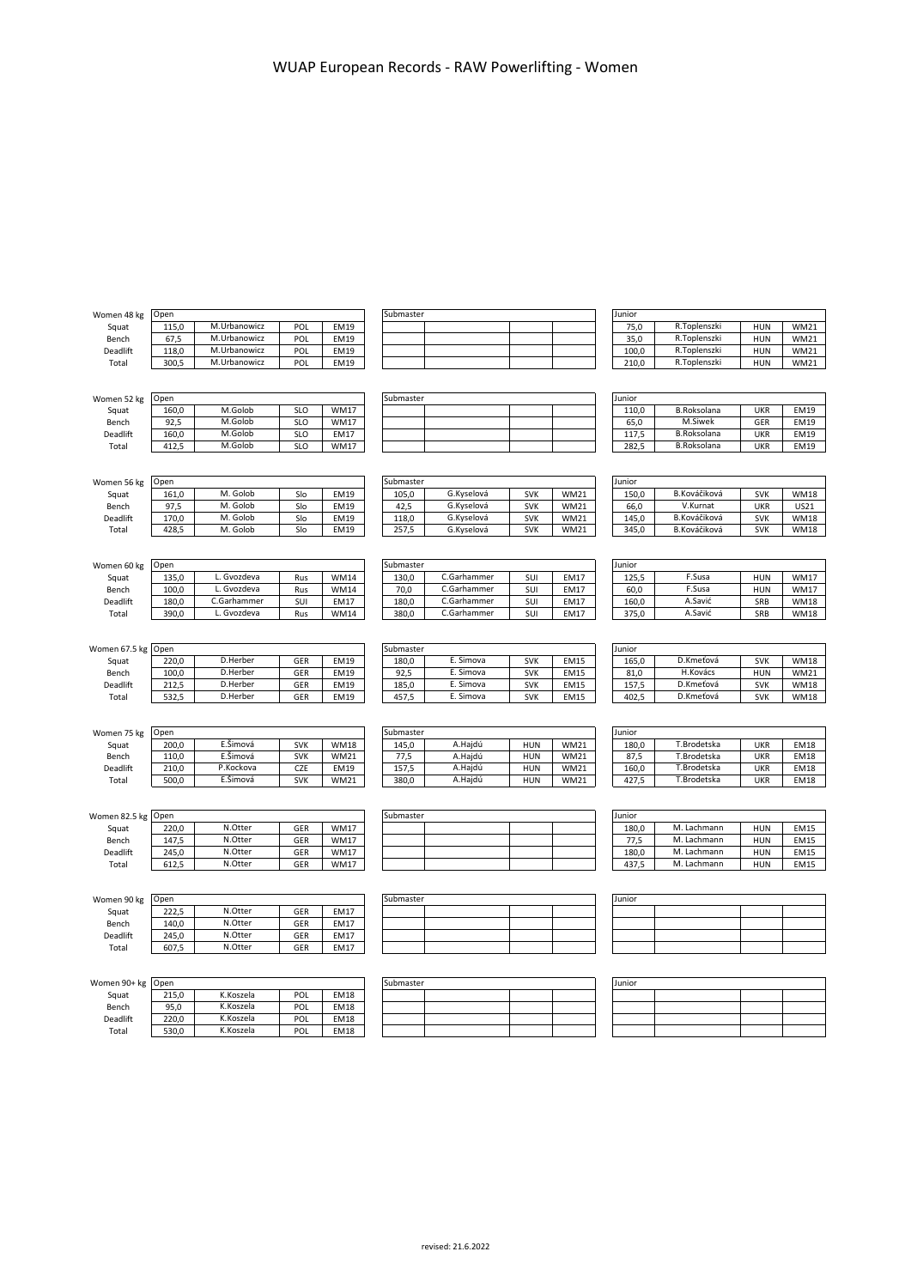| Women 48 kg        | Open  |              |            | Submaster                  |           |             |            | Junior      |        |                    |                          |             |
|--------------------|-------|--------------|------------|----------------------------|-----------|-------------|------------|-------------|--------|--------------------|--------------------------|-------------|
| Squat              | 115,0 | M.Urbanowicz | POL        | <b>EM19</b>                |           |             |            |             | 75,0   | R.Toplenszki       | <b>HUN</b>               | <b>WM21</b> |
| Bench              | 67,5  | M.Urbanowicz | POL        | <b>EM19</b>                |           |             |            |             | 35,0   | R.Toplenszki       | HUN                      | <b>WM21</b> |
| Deadlift           | 118,0 | M.Urbanowicz | POL        | <b>EM19</b>                |           |             |            |             | 100,0  | R.Toplenszki       | <b>HUN</b>               | <b>WM21</b> |
| Total              | 300,5 | M.Urbanowicz | POL        | EM19                       |           |             |            |             | 210,0  | R.Toplenszki       | <b>HUN</b>               | <b>WM21</b> |
|                    |       |              |            |                            |           |             |            |             |        |                    |                          |             |
|                    |       |              |            |                            |           |             |            |             |        |                    |                          |             |
| Women 52 kg        | Open  |              |            |                            | Submaster |             |            |             | Junior |                    |                          |             |
| Squat              | 160,0 | M.Golob      | <b>SLO</b> | <b>WM17</b>                |           |             |            |             | 110,0  | <b>B.Roksolana</b> | <b>UKR</b>               | <b>EM19</b> |
| Bench              | 92,5  | M.Golob      | <b>SLO</b> | <b>WM17</b>                |           |             |            |             | 65,0   | M.Siwek            | GER                      | <b>EM19</b> |
| Deadlift           | 160,0 | M.Golob      | <b>SLO</b> | <b>EM17</b>                |           |             |            |             | 117,5  | <b>B.Roksolana</b> | <b>UKR</b>               | <b>EM19</b> |
| Total              | 412,5 | M.Golob      | SLO        | <b>WM17</b>                |           |             |            |             | 282,5  | <b>B.Roksolana</b> | <b>UKR</b>               | <b>EM19</b> |
|                    |       |              |            |                            |           |             |            |             |        |                    |                          |             |
|                    |       |              |            |                            |           |             |            |             |        |                    |                          |             |
| Women 56 kg        | Open  |              |            |                            | Submaster |             |            |             | Junior |                    |                          |             |
| Squat              | 161,0 | M. Golob     | Slo        | <b>EM19</b>                | 105,0     | G.Kyselová  | <b>SVK</b> | <b>WM21</b> | 150,0  | B.Kováčiková       | <b>SVK</b>               | <b>WM18</b> |
| Bench              | 97,5  | M. Golob     | Slo        | <b>EM19</b>                | 42,5      | G.Kyselová  | <b>SVK</b> | <b>WM21</b> | 66,0   | V.Kurnat           | <b>UKR</b>               | US21        |
| Deadlift           | 170,0 | M. Golob     | Slo        | <b>EM19</b>                | 118,0     | G.Kyselová  | <b>SVK</b> | <b>WM21</b> | 145,0  | B.Kováčiková       | <b>SVK</b>               | <b>WM18</b> |
| Total              | 428,5 | M. Golob     | Slo        | <b>EM19</b>                | 257,5     | G.Kyselová  | <b>SVK</b> | <b>WM21</b> | 345,0  | B.Kováčiková       | <b>SVK</b>               | <b>WM18</b> |
|                    |       |              |            |                            |           |             |            |             |        |                    |                          |             |
|                    |       |              |            |                            |           |             |            |             |        |                    |                          |             |
| Women 60 kg        | Open  |              |            |                            | Submaster |             |            |             | Junior |                    |                          |             |
| Squat              | 135,0 | L. Gvozdeva  | Rus        | <b>WM14</b>                | 130,0     | C.Garhammer | SUI        | EM17        | 125,5  | F.Susa             | <b>HUN</b>               | <b>WM17</b> |
| Bench              | 100,0 | L. Gvozdeva  | Rus        | <b>WM14</b>                | 70,0      | C.Garhammer | SUI        | <b>EM17</b> | 60,0   | F.Susa             | <b>HUN</b>               | <b>WM17</b> |
| Deadlift           | 180,0 | C.Garhammer  | SUI        | <b>EM17</b>                | 180,0     | C.Garhammer | SUI        | <b>EM17</b> | 160,0  | A.Savić            | SRB                      | <b>WM18</b> |
| Total              | 390,0 | L. Gvozdeva  | Rus        | <b>WM14</b>                | 380,0     | C.Garhammer | SUI        | EM17        | 375,0  | A.Savić            | SRB                      | <b>WM18</b> |
|                    |       |              |            |                            |           |             |            |             |        |                    |                          |             |
|                    |       |              |            |                            |           |             |            |             |        |                    |                          |             |
| Women 67.5 kg Open |       |              |            |                            | Submaster |             |            |             | Junior |                    |                          |             |
|                    | 220.0 | D.Herber     |            |                            |           | E. Simova   |            |             |        | D.Kmeťová          |                          |             |
| Squat              |       | D.Herber     | GER        | <b>EM19</b><br><b>EM19</b> | 180,0     | E. Simova   | <b>SVK</b> | <b>EM15</b> | 165,0  | H.Kovács           | <b>SVK</b><br><b>HUN</b> | <b>WM18</b> |
| Bench              | 100,0 |              | GER        |                            | 92,5      |             | <b>SVK</b> | <b>EM15</b> | 81,0   |                    |                          | <b>WM21</b> |
| Deadlift           | 212,5 | D.Herber     | GER        | <b>EM19</b>                | 185,0     | E. Simova   | <b>SVK</b> | <b>EM15</b> | 157,5  | D.Kmeťová          | <b>SVK</b>               | <b>WM18</b> |
| Total              | 532,5 | D.Herber     | GER        | <b>EM19</b>                | 457,5     | E. Simova   | <b>SVK</b> | <b>EM15</b> | 402,5  | D.Kmeťová          | <b>SVK</b>               | <b>WM18</b> |
|                    |       |              |            |                            |           |             |            |             |        |                    |                          |             |
|                    | Open  |              |            |                            | Submaster |             |            |             | Junior |                    |                          |             |
| Women 75 kg        |       |              |            |                            |           |             |            |             |        |                    |                          |             |
| Squat              | 200,0 | E.Šimová     | <b>SVK</b> | <b>WM18</b>                | 145,0     | A.Hajdú     | HUN        | <b>WM21</b> | 180,0  | T.Brodetska        | <b>UKR</b>               | <b>EM18</b> |
| Bench              | 110,0 | E.Šimová     | <b>SVK</b> | <b>WM21</b>                | 77,5      | A.Hajdú     | <b>HUN</b> | <b>WM21</b> | 87,5   | T.Brodetska        | <b>UKR</b>               | <b>EM18</b> |
| Deadlift           | 210,0 | P.Kockova    | CZE        | <b>EM19</b>                | 157,5     | A.Hajdú     | <b>HUN</b> | <b>WM21</b> | 160,0  | T.Brodetska        | <b>UKR</b>               | <b>EM18</b> |
| Total              | 500,0 | E.Šimová     | <b>SVK</b> | <b>WM21</b>                | 380,0     | A.Hajdú     | <b>HUN</b> | <b>WM21</b> | 427,5  | T.Brodetska        | <b>UKR</b>               | <b>EM18</b> |
|                    |       |              |            |                            |           |             |            |             |        |                    |                          |             |
|                    |       |              |            |                            |           |             |            |             |        |                    |                          |             |
| Women 82.5 kg Open |       |              |            |                            | Submaster |             |            |             | Junior |                    |                          |             |
| Squat              | 220,0 | N.Otter      | GER        | <b>WM17</b>                |           |             |            |             | 180,0  | M. Lachmann        | HUN                      | <b>EM15</b> |
| Bench              | 147,5 | N.Otter      | GER        | <b>WM17</b>                |           |             |            |             | 77,5   | M. Lachmann        | HUN                      | <b>EM15</b> |
| Deadlift           | 245,0 | N.Otter      | GER        | <b>WM17</b>                |           |             |            |             | 180,0  | M. Lachmann        | HUN                      | <b>EM15</b> |
| Total              | 612,5 | N.Otter      | GER        | <b>WM17</b>                |           |             |            |             | 437,5  | M. Lachmann        | <b>HUN</b>               | EM15        |
|                    |       |              |            |                            |           |             |            |             |        |                    |                          |             |
|                    |       |              |            |                            |           |             |            |             |        |                    |                          |             |
| Women 90 kg        | Open  |              |            |                            | Submaster |             |            |             | Junior |                    |                          |             |
| Squat              | 222,5 | N.Otter      | GER        | <b>EM17</b>                |           |             |            |             |        |                    |                          |             |
| Bench              | 140,0 | N.Otter      | GER        | <b>EM17</b>                |           |             |            |             |        |                    |                          |             |
| Deadlift           | 245,0 | N.Otter      | GER        | <b>EM17</b>                |           |             |            |             |        |                    |                          |             |
| Total              | 607,5 | N.Otter      | GER        | <b>EM17</b>                |           |             |            |             |        |                    |                          |             |
|                    |       |              |            |                            |           |             |            |             |        |                    |                          |             |
|                    |       |              |            |                            |           |             |            |             |        |                    |                          |             |
| Women 90+ kg Open  |       |              |            |                            | Submaster |             |            |             | Junior |                    |                          |             |
| Squat              | 215,0 | K.Koszela    | POL        | <b>EM18</b>                |           |             |            |             |        |                    |                          |             |
| Bench              | 95,0  | K.Koszela    | POL        | <b>EM18</b>                |           |             |            |             |        |                    |                          |             |
| Deadlift           | 220,0 | K.Koszela    | POL        | <b>EM18</b>                |           |             |            |             |        |                    |                          |             |
| Total              | 530,0 | K.Koszela    | POL        | <b>EM18</b>                |           |             |            |             |        |                    |                          |             |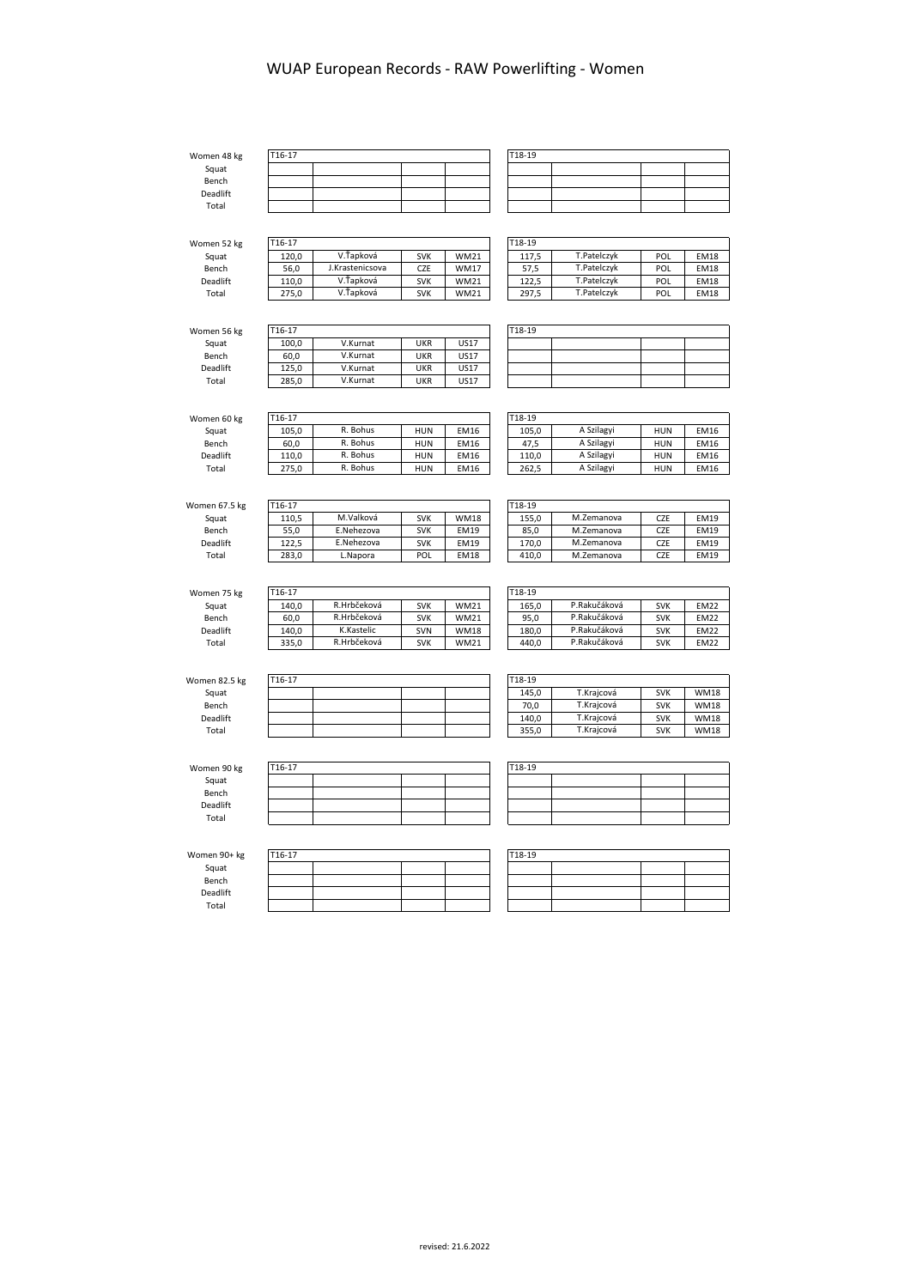| Women 48 kg          | T16-17          |                 |            |             | T18-19            |              |            |
|----------------------|-----------------|-----------------|------------|-------------|-------------------|--------------|------------|
| Squat                |                 |                 |            |             |                   |              |            |
| Bench                |                 |                 |            |             |                   |              |            |
| Deadlift             |                 |                 |            |             |                   |              |            |
| Total                |                 |                 |            |             |                   |              |            |
|                      |                 |                 |            |             |                   |              |            |
| Women 52 kg          | T16-17          |                 |            |             | T18-19            |              |            |
| Squat                | 120,0           | V.Ťapková       | <b>SVK</b> | <b>WM21</b> | 117,5             | T.Patelczyk  | POL        |
| Bench                | 56,0            | J.Krastenicsova | <b>CZE</b> | <b>WM17</b> | 57,5              | T.Patelczyk  | POL        |
| Deadlift             | 110,0           | V.Ťapková       | <b>SVK</b> | <b>WM21</b> | 122,5             | T.Patelczyk  | POL        |
| Total                | 275,0           | V.Ťapková       | <b>SVK</b> | <b>WM21</b> | 297,5             | T.Patelczyk  | POL        |
|                      |                 |                 |            |             |                   |              |            |
| Women 56 kg          | T16-17          |                 |            |             | T18-19            |              |            |
| Squat                | 100,0           | V.Kurnat        | <b>UKR</b> | <b>US17</b> |                   |              |            |
| Bench                | 60,0            | V.Kurnat        | <b>UKR</b> | <b>US17</b> |                   |              |            |
| Deadlift             | 125,0           | V.Kurnat        | <b>UKR</b> | <b>US17</b> |                   |              |            |
| Total                | 285,0           | V.Kurnat        | <b>UKR</b> | <b>US17</b> |                   |              |            |
| Women 60 kg<br>Squat | T16-17<br>105,0 | R. Bohus        | <b>HUN</b> | EM16        | $T18-19$<br>105,0 | A Szilagyi   | <b>HUN</b> |
| Bench                | 60,0            | R. Bohus        | <b>HUN</b> | EM16        | 47,5              | A Szilagyi   | <b>HUN</b> |
| <b>Deadlift</b>      | 110,0           | R. Bohus        | <b>HUN</b> | EM16        | 110,0             | A Szilagyi   | <b>HUN</b> |
| Total                | 275,0           | R. Bohus        | <b>HUN</b> | <b>EM16</b> | 262,5             | A Szilagyi   | <b>HUN</b> |
|                      |                 |                 |            |             |                   |              |            |
| Women 67.5 kg        | T16-17          |                 |            |             | $T18-19$          |              |            |
| Squat                | 110,5           | M.Valková       | <b>SVK</b> | <b>WM18</b> | 155,0             | M.Zemanova   | CZE        |
| Bench                | 55,0            | E.Nehezova      | <b>SVK</b> | <b>EM19</b> | 85,0              | M.Zemanova   | CZE        |
| Deadlift             | 122,5           | E.Nehezova      | <b>SVK</b> | EM19        | 170,0             | M.Zemanova   | CZE        |
| Total                | 283,0           | L.Napora        | POL        | <b>EM18</b> | 410,0             | M.Zemanova   | <b>CZE</b> |
|                      |                 |                 |            |             |                   |              |            |
| Women 75 kg          | T16-17          |                 |            |             | T18-19            |              |            |
| Squat                | 140,0           | R.Hrbčeková     | <b>SVK</b> | <b>WM21</b> | 165,0             | P.Rakučáková | <b>SVK</b> |
| Bench                | 60,0            | R.Hrbčeková     | <b>SVK</b> | <b>WM21</b> | 95,0              | P.Rakučáková | <b>SVK</b> |
| Deadlift             | 140,0           | K.Kastelic      | SVN        | <b>WM18</b> | 180,0             | P.Rakučáková | <b>SVK</b> |
| Total                | 335,0           | R.Hrbčeková     | <b>SVK</b> | <b>WM21</b> | 440,0             | P.Rakučáková | <b>SVK</b> |
|                      |                 |                 |            |             |                   |              |            |
| Women 82 5 kg        | T16-17          |                 |            |             | T18-19            |              |            |

| Women 82.5 kg   | T16-17 |  | T18-19 |            |            |             |
|-----------------|--------|--|--------|------------|------------|-------------|
| Squat           |        |  | 145.0  | T.Kraicová | <b>SVK</b> | <b>WM18</b> |
| Bench           |        |  | 70,0   | T.Kraicová | <b>SVK</b> | <b>WM18</b> |
| <b>Deadlift</b> |        |  | 140.0  | T.Kraicová | <b>SVK</b> | <b>WM18</b> |
| Total           |        |  | 355.0  | T.Kraicová | <b>SVK</b> | <b>WM18</b> |
|                 |        |  |        |            |            |             |

| Women 90 kg | T16-17 |  | T18-19 |  |  |  |  |  |  |  |
|-------------|--------|--|--------|--|--|--|--|--|--|--|
| Squat       |        |  |        |  |  |  |  |  |  |  |
| Bench       |        |  |        |  |  |  |  |  |  |  |
| Deadlift    |        |  |        |  |  |  |  |  |  |  |
| Total       |        |  |        |  |  |  |  |  |  |  |
|             |        |  |        |  |  |  |  |  |  |  |

| Women 90+ kg | T16-17 |  |  |  |  |  |  |  |  |  |  |  |
|--------------|--------|--|--|--|--|--|--|--|--|--|--|--|
| Squat        |        |  |  |  |  |  |  |  |  |  |  |  |
| Bench        |        |  |  |  |  |  |  |  |  |  |  |  |
| Deadlift     |        |  |  |  |  |  |  |  |  |  |  |  |
| Total        |        |  |  |  |  |  |  |  |  |  |  |  |

| $T18-19$ |  |  |  |  |  |  |  |  |  |  |
|----------|--|--|--|--|--|--|--|--|--|--|
|          |  |  |  |  |  |  |  |  |  |  |
|          |  |  |  |  |  |  |  |  |  |  |
|          |  |  |  |  |  |  |  |  |  |  |
|          |  |  |  |  |  |  |  |  |  |  |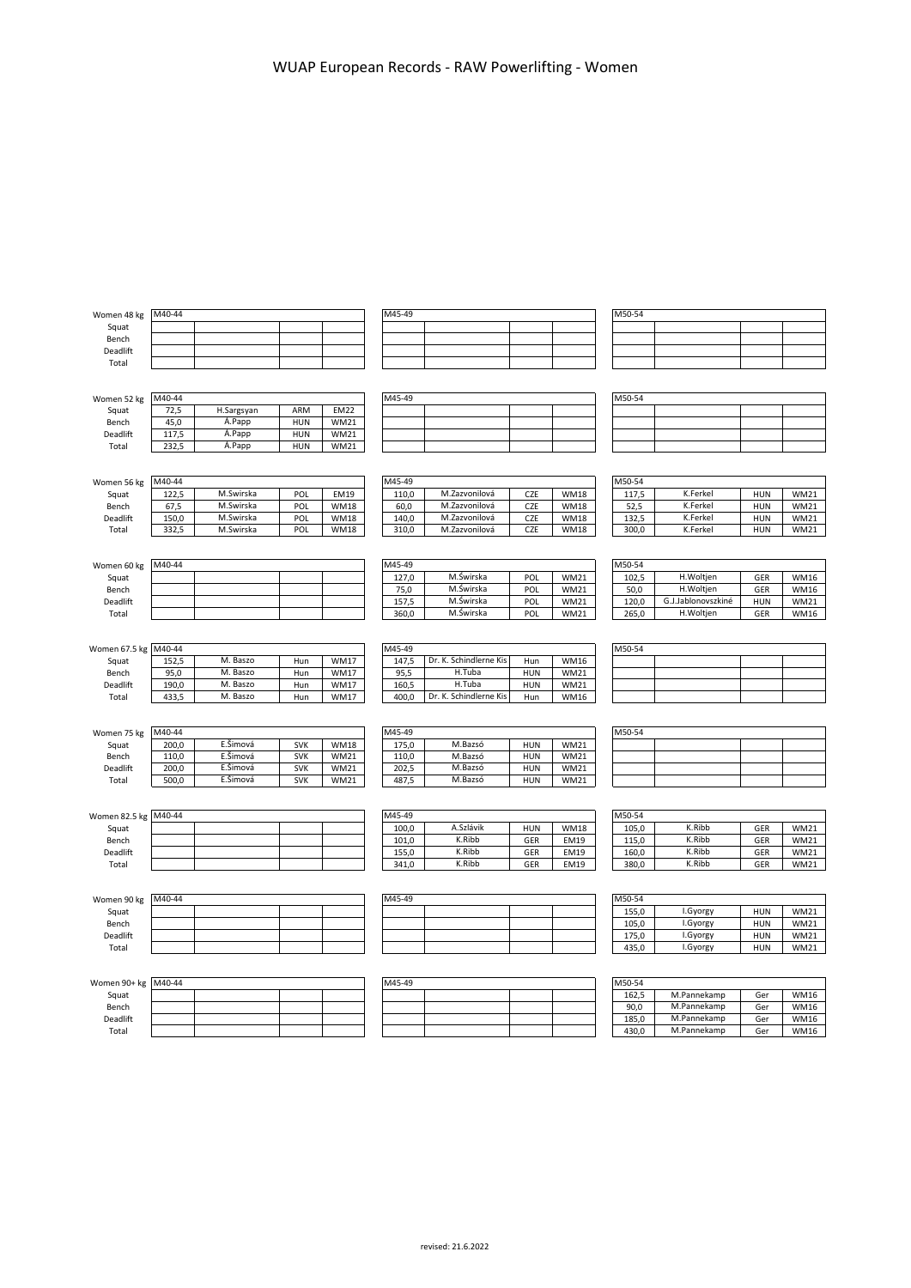| Women 48 kg   | M40-44 |                      |            |             | M45-49 |                        |            |             | M50-54 |                    |            |             |
|---------------|--------|----------------------|------------|-------------|--------|------------------------|------------|-------------|--------|--------------------|------------|-------------|
| Squat         |        |                      |            |             |        |                        |            |             |        |                    |            |             |
| Bench         |        |                      |            |             |        |                        |            |             |        |                    |            |             |
| Deadlift      |        |                      |            |             |        |                        |            |             |        |                    |            |             |
| Total         |        |                      |            |             |        |                        |            |             |        |                    |            |             |
|               |        |                      |            |             |        |                        |            |             |        |                    |            |             |
| Women 52 kg   | M40-44 |                      |            |             | M45-49 |                        |            |             | M50-54 |                    |            |             |
| Squat         | 72,5   | H.Sargsyan           | ARM        | <b>EM22</b> |        |                        |            |             |        |                    |            |             |
| Bench         | 45,0   | A.Papp               | <b>HUN</b> | <b>WM21</b> |        |                        |            |             |        |                    |            |             |
| Deadlift      | 117,5  | Á.Papp               | <b>HUN</b> | <b>WM21</b> |        |                        |            |             |        |                    |            |             |
| Total         | 232,5  | A.Papp               | <b>HUN</b> | <b>WM21</b> |        |                        |            |             |        |                    |            |             |
|               |        |                      |            |             |        |                        |            |             |        |                    |            |             |
|               |        |                      |            |             |        |                        |            |             |        |                    |            |             |
| Women 56 kg   | M40-44 |                      |            |             | M45-49 |                        |            |             | M50-54 |                    |            |             |
| Squat         | 122,5  | M.Swirska            | POL        | <b>EM19</b> | 110,0  | M.Zazvonilová          | CZE        | <b>WM18</b> | 117,5  | K.Ferkel           | <b>HUN</b> | <b>WM21</b> |
| Bench         | 67,5   | M.Swirska            | POL        | <b>WM18</b> | 60,0   | M.Zazvonilová          | CZE        | <b>WM18</b> | 52,5   | K.Ferkel           | <b>HUN</b> | <b>WM21</b> |
| Deadlift      | 150,0  | M.Swirska            | POL        | <b>WM18</b> | 140,0  | M.Zazvonilová          | CZE        | <b>WM18</b> | 132,5  | K.Ferkel           | <b>HUN</b> | <b>WM21</b> |
| Total         | 332,5  | M.Swirska            | POL        | <b>WM18</b> | 310,0  | M.Zazvonilová          | CZE        | <b>WM18</b> | 300,0  | K.Ferkel           | <b>HUN</b> | <b>WM21</b> |
|               |        |                      |            |             |        |                        |            |             |        |                    |            |             |
| Women 60 kg   | M40-44 |                      |            |             | M45-49 |                        |            |             | M50-54 |                    |            |             |
| Squat         |        |                      |            |             | 127,0  | M.Świrska              | POL        | <b>WM21</b> | 102,5  | H.Woltjen          | GER        | <b>WM16</b> |
| Bench         |        |                      |            |             | 75,0   | M.Świrska              | POL        | <b>WM21</b> | 50,0   | H.Woltjen          | GER        | WM16        |
| Deadlift      |        |                      |            |             | 157,5  | M.Świrska              | POL        | <b>WM21</b> | 120,0  | G.J.Jablonovszkiné | <b>HUN</b> | <b>WM21</b> |
| Total         |        |                      |            |             | 360,0  | M.Świrska              | POL        | <b>WM21</b> | 265,0  | H.Woltjen          | GER        | WM16        |
|               |        |                      |            |             |        |                        |            |             |        |                    |            |             |
| Women 67.5 kg | M40-44 |                      |            |             | M45-49 |                        |            |             | M50-54 |                    |            |             |
| Squat         | 152,5  | M. Baszo             | Hun        | <b>WM17</b> | 147,5  | Dr. K. Schindlerne Kis | Hun        | <b>WM16</b> |        |                    |            |             |
| Bench         | 95,0   | M. Baszo             | Hun        | <b>WM17</b> | 95,5   | H.Tuba                 | <b>HUN</b> | <b>WM21</b> |        |                    |            |             |
| Deadlift      | 190,0  | M. Baszo             | Hun        | <b>WM17</b> | 160,5  | H.Tuba                 | <b>HUN</b> | <b>WM21</b> |        |                    |            |             |
| Total         | 433,5  | M. Baszo             | Hun        | <b>WM17</b> | 400,0  | Dr. K. Schindlerne Kis | Hun        | <b>WM16</b> |        |                    |            |             |
|               |        |                      |            |             |        |                        |            |             |        |                    |            |             |
|               | M40-44 |                      |            |             | M45-49 |                        |            |             | M50-54 |                    |            |             |
| Women 75 kg   |        |                      |            |             |        |                        |            |             |        |                    |            |             |
| Squat         | 200,0  | E.Šimová             | <b>SVK</b> | <b>WM18</b> | 175,0  | M.Bazsó                | <b>HUN</b> | <b>WM21</b> |        |                    |            |             |
| Bench         | 110,0  | E.Šimová             | <b>SVK</b> | <b>WM21</b> | 110,0  | M.Bazsó                | <b>HUN</b> | <b>WM21</b> |        |                    |            |             |
| Deadlift      | 200,0  | E.Šimová<br>E.Šimová | <b>SVK</b> | <b>WM21</b> | 202,5  | M.Bazsó<br>M.Bazsó     | <b>HUN</b> | <b>WM21</b> |        |                    |            |             |
| Total         | 500,0  |                      | <b>SVK</b> | <b>WM21</b> | 487,5  |                        | <b>HUN</b> | <b>WM21</b> |        |                    |            |             |
|               |        |                      |            |             |        |                        |            |             |        |                    |            |             |
| Women 82.5 kg | M40-44 |                      |            |             | M45-49 |                        |            |             | M50-54 |                    |            |             |
| Squat         |        |                      |            |             | 100,0  | A.Szlávik              | <b>HUN</b> | <b>WM18</b> | 105,0  | K.Ribb             | GER        | <b>WM21</b> |
| Bench         |        |                      |            |             | 101,0  | K.Ribb                 | GER        | EM19        | 115,0  | K.Ribb             | GER        | <b>WM21</b> |
| Deadlift      |        |                      |            |             | 155,0  | K.Ribb                 | GER        | <b>EM19</b> | 160,0  | K.Ribb             | GER        | WM21        |
| Total         |        |                      |            |             | 341,0  | K.Ribb                 | GER        | <b>EM19</b> | 380,0  | K.Ribb             | GER        | <b>WM21</b> |
|               |        |                      |            |             |        |                        |            |             |        |                    |            |             |
| Women 90 kg   | M40-44 |                      |            |             | M45-49 |                        |            |             | M50-54 |                    |            |             |
| Squat         |        |                      |            |             |        |                        |            |             | 155,0  | I.Gyorgy           | <b>HUN</b> | <b>WM21</b> |
| Bench         |        |                      |            |             |        |                        |            |             | 105,0  | I.Gyorgy           | <b>HUN</b> | WM21        |
| Deadlift      |        |                      |            |             |        |                        |            |             | 175,0  | I.Gyorgy           | <b>HUN</b> | <b>WM21</b> |
| Total         |        |                      |            |             |        |                        |            |             | 435,0  | I.Gyorgy           | <b>HUN</b> | WM21        |
|               |        |                      |            |             |        |                        |            |             |        |                    |            |             |

| Women 90+ kg M40-44 |  |  |  |  | M45-49 |  | M50-54 |       |             |     |      |
|---------------------|--|--|--|--|--------|--|--------|-------|-------------|-----|------|
| Squat               |  |  |  |  |        |  |        | 162,5 | M.Pannekamp | Ger | WM16 |
| Bench               |  |  |  |  |        |  |        | 90.0  | M.Pannekamp | Ger | WM16 |
| Deadlift            |  |  |  |  |        |  |        | 185,0 | M.Pannekamp | Ger | WM16 |
| Total               |  |  |  |  |        |  |        | 430.0 | M.Pannekamp | Ger | WM16 |

| 445-49 |  |  |
|--------|--|--|
|        |  |  |
|        |  |  |
|        |  |  |
|        |  |  |

| M50-54 |             |     |             |
|--------|-------------|-----|-------------|
| 162.5  | M.Pannekamp | Ger | <b>WM16</b> |
| 90.0   | M.Pannekamp | Ger | <b>WM16</b> |
| 185.0  | M.Pannekamp | Ger | <b>WM16</b> |
| 430,0  | M.Pannekamp | Ger | <b>WM16</b> |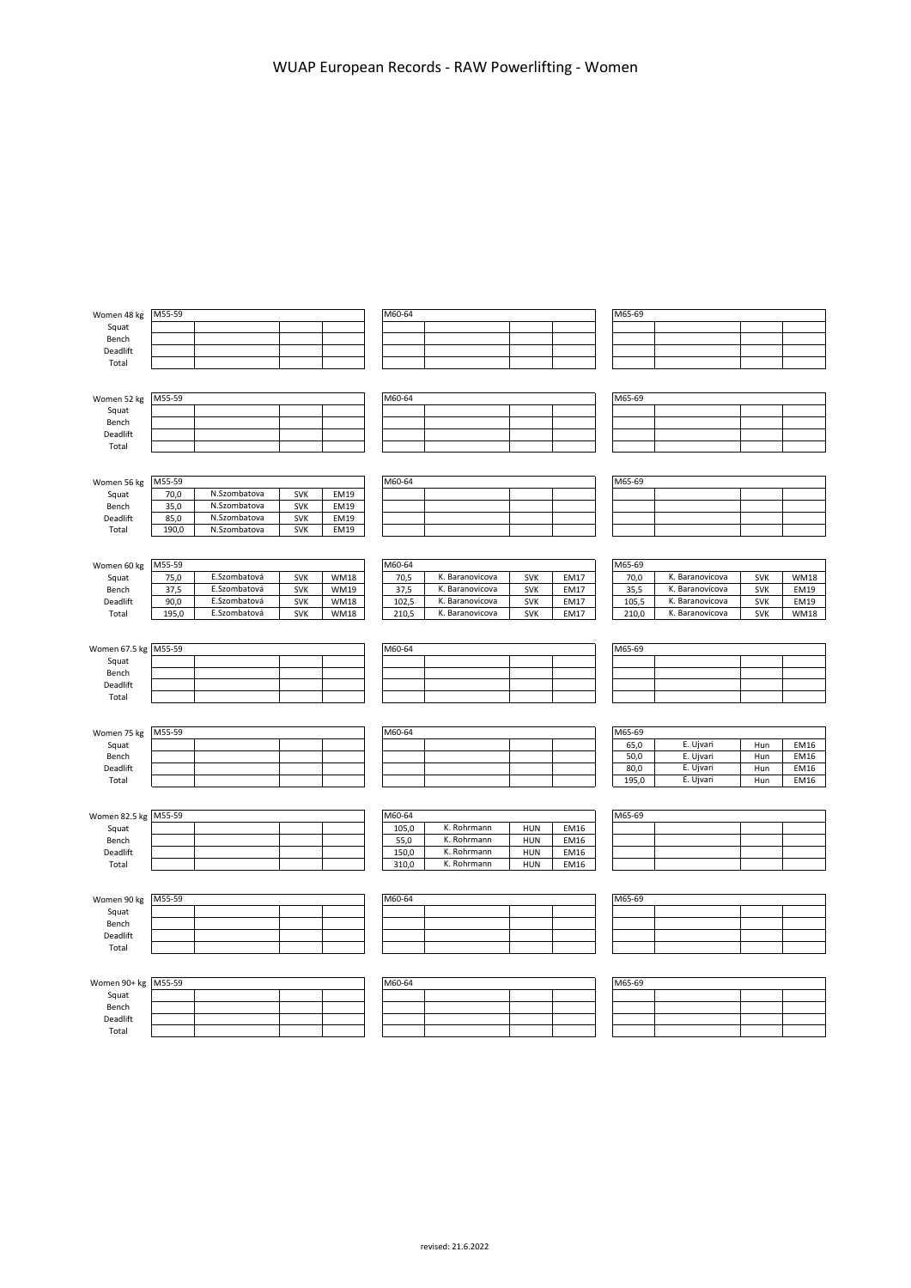| Women 48 kg          | M55-59 |              |            |             | M60-64         |                            |                          |              | M65-69 |                 |            |             |
|----------------------|--------|--------------|------------|-------------|----------------|----------------------------|--------------------------|--------------|--------|-----------------|------------|-------------|
| Squat                |        |              |            |             |                |                            |                          |              |        |                 |            |             |
| Bench                |        |              |            |             |                |                            |                          |              |        |                 |            |             |
|                      |        |              |            |             |                |                            |                          |              |        |                 |            |             |
| Deadlift<br>Total    |        |              |            |             |                |                            |                          |              |        |                 |            |             |
|                      |        |              |            |             |                |                            |                          |              |        |                 |            |             |
|                      |        |              |            |             |                |                            |                          |              |        |                 |            |             |
| Women 52 kg          | M55-59 |              |            |             | M60-64         |                            |                          |              | M65-69 |                 |            |             |
| Squat                |        |              |            |             |                |                            |                          |              |        |                 |            |             |
| Bench                |        |              |            |             |                |                            |                          |              |        |                 |            |             |
| Deadlift             |        |              |            |             |                |                            |                          |              |        |                 |            |             |
| Total                |        |              |            |             |                |                            |                          |              |        |                 |            |             |
|                      |        |              |            |             |                |                            |                          |              |        |                 |            |             |
|                      |        |              |            |             |                |                            |                          |              |        |                 |            |             |
| Women 56 kg          | M55-59 |              |            |             | M60-64         |                            |                          |              | M65-69 |                 |            |             |
| Squat                | 70,0   | N.Szombatova | <b>SVK</b> | EM19        |                |                            |                          |              |        |                 |            |             |
| Bench                | 35,0   | N.Szombatova | <b>SVK</b> | <b>EM19</b> |                |                            |                          |              |        |                 |            |             |
| Deadlift             | 85,0   | N.Szombatova | <b>SVK</b> | <b>EM19</b> |                |                            |                          |              |        |                 |            |             |
| Total                | 190,0  | N.Szombatova | <b>SVK</b> | <b>EM19</b> |                |                            |                          |              |        |                 |            |             |
|                      |        |              |            |             |                |                            |                          |              |        |                 |            |             |
|                      |        |              |            |             |                |                            |                          |              |        |                 |            |             |
| Women 60 kg          | M55-59 |              |            |             | M60-64         |                            |                          |              | M65-69 |                 |            |             |
| Squat                | 75,0   | E.Szombatová | <b>SVK</b> | <b>WM18</b> | 70,5           | K. Baranovicova            | <b>SVK</b>               | <b>EM17</b>  | 70,0   | K. Baranovicova | SVK        | <b>WM18</b> |
| Bench                | 37,5   | E.Szombatová | <b>SVK</b> | <b>WM19</b> | 37,5           | K. Baranovicova            | <b>SVK</b>               | <b>EM17</b>  | 35,5   | K. Baranovicova | <b>SVK</b> | <b>EM19</b> |
| Deadlift             | 90,0   | E.Szombatová | <b>SVK</b> | <b>WM18</b> | 102,5          | K. Baranovicova            | <b>SVK</b>               | EM17         | 105,5  | K. Baranovicova | <b>SVK</b> | <b>EM19</b> |
| Total                | 195,0  | E.Szombatová | <b>SVK</b> | <b>WM18</b> | 210,5          | K. Baranovicova            | SVK                      | EM17         | 210,0  | K. Baranovicova | <b>SVK</b> | <b>WM18</b> |
|                      |        |              |            |             |                |                            |                          |              |        |                 |            |             |
|                      |        |              |            |             |                |                            |                          |              |        |                 |            |             |
| Women 67.5 kg M55-59 |        |              |            |             | M60-64         |                            |                          |              | M65-69 |                 |            |             |
| Squat                |        |              |            |             |                |                            |                          |              |        |                 |            |             |
| Bench                |        |              |            |             |                |                            |                          |              |        |                 |            |             |
| Deadlift             |        |              |            |             |                |                            |                          |              |        |                 |            |             |
| Total                |        |              |            |             |                |                            |                          |              |        |                 |            |             |
|                      |        |              |            |             |                |                            |                          |              |        |                 |            |             |
|                      |        |              |            |             |                |                            |                          |              |        |                 |            |             |
| Women 75 kg          | M55-59 |              |            |             | M60-64         |                            |                          |              | M65-69 |                 |            |             |
| Squat                |        |              |            |             |                |                            |                          |              | 65,0   | E. Ujvari       | Hun        | <b>EM16</b> |
| Bench                |        |              |            |             |                |                            |                          |              | 50,0   | E. Ujvari       | Hun        | <b>EM16</b> |
| Deadlift             |        |              |            |             |                |                            |                          |              | 80,0   | E. Ujvari       | Hun        | EM16        |
| Total                |        |              |            |             |                |                            |                          |              | 195,0  | E. Ujvari       | Hun        | <b>EM16</b> |
|                      |        |              |            |             |                |                            |                          |              |        |                 |            |             |
|                      | M55-59 |              |            |             | M60-64         |                            |                          |              | M65-69 |                 |            |             |
| Women 82.5 kg        |        |              |            |             |                |                            |                          |              |        |                 |            |             |
| Squat                |        |              |            |             | 105,0          | K. Rohrmann<br>K. Rohrmann | <b>HUN</b>               | EM16         |        |                 |            |             |
| Bench                |        |              |            |             | 55,0           | K. Rohrmann                | HUN                      | EM16         |        |                 |            |             |
| Deadlift<br>Total    |        |              |            |             | 150,0<br>310,0 | K. Rohrmann                | <b>HUN</b><br><b>HUN</b> | EM16<br>EM16 |        |                 |            |             |
|                      |        |              |            |             |                |                            |                          |              |        |                 |            |             |
|                      |        |              |            |             |                |                            |                          |              |        |                 |            |             |
| Women 90 kg          | M55-59 |              |            |             | M60-64         |                            |                          |              | M65-69 |                 |            |             |
| Squat                |        |              |            |             |                |                            |                          |              |        |                 |            |             |
| Bench                |        |              |            |             |                |                            |                          |              |        |                 |            |             |
| Deadlift             |        |              |            |             |                |                            |                          |              |        |                 |            |             |
| Total                |        |              |            |             |                |                            |                          |              |        |                 |            |             |
|                      |        |              |            |             |                |                            |                          |              |        |                 |            |             |
|                      |        |              |            |             |                |                            |                          |              |        |                 |            |             |
| Women 90+ kg         | M55-59 |              |            |             | M60-64         |                            |                          |              | M65-69 |                 |            |             |
| Squat                |        |              |            |             |                |                            |                          |              |        |                 |            |             |
| Bench                |        |              |            |             |                |                            |                          |              |        |                 |            |             |
| Deadlift             |        |              |            |             |                |                            |                          |              |        |                 |            |             |
| Total                |        |              |            |             |                |                            |                          |              |        |                 |            |             |